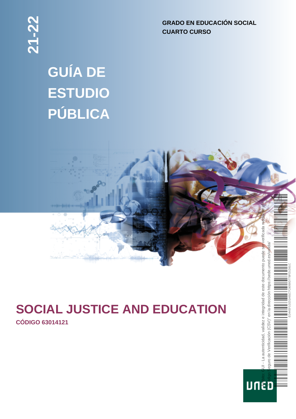**GRADO EN EDUCACIÓN SOCIAL CUARTO CURSO**

 $(CSV)^"$ 

eguro de Verificación

**UNED** 

# **GUÍA DE ESTUDIO PÚBLICA**



# **SOCIAL JUSTICE AND EDUCATION**

**CÓDIGO 63014121**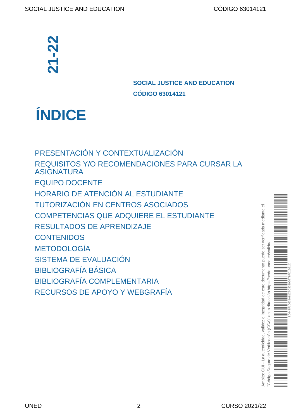# **SOCIAL JUSTICE AND EDUCATION CÓDIGO 63014121**

**ÍNDICE**

[PRESENTACIÓN Y CONTEXTUALIZACIÓN](#page-2-0) [REQUISITOS Y/O RECOMENDACIONES PARA CURSAR LA](#page-3-0) [ASIGNATURA](#page-3-0) [EQUIPO DOCENTE](#page-3-1) [HORARIO DE ATENCIÓN AL ESTUDIANTE](#page-3-2) [TUTORIZACIÓN EN CENTROS ASOCIADOS](#page-4-0) [COMPETENCIAS QUE ADQUIERE EL ESTUDIANTE](#page-4-0) [RESULTADOS DE APRENDIZAJE](#page-5-0) **[CONTENIDOS](#page-5-1)** [METODOLOGÍA](#page-6-0) [SISTEMA DE EVALUACIÓN](#page-6-1) [BIBLIOGRAFÍA BÁSICA](#page-8-0) [BIBLIOGRAFÍA COMPLEMENTARIA](#page-9-0) **EXECURSO DE APORTENTISTE DE CONFERENTACIÓN Y CONTEXTUALIZACI<br>
PRESENTACIÓN Y CONTEXTUALIZACI<br>
REQUISITOS Y/O RECOMENDACIONES<br>
ASIGNATURA<br>
EQUIPO DOCENTE<br>
HORARIO DE ATENCIÓN AL ESTUDIAN<br>
TUTORIZACIÓN EN CENTROS ASOCIA<br>
CO** 

imbito: GUI - La autenticidad, validez e integridad de este documento puede ser verificada mediante el Ámbito: GUI - La autenticidad, validez e integridad de este documento puede ser verificada mediante el "Código Seguro de Verificación (CSV)" en la dirección https://sede.uned.es/valida/ es/valida uned. https://sede. rección  $\bar{\sigma}$  $\overline{5}$ cs<sub>V</sub> cación  $\frac{0}{\sqrt{2}}$ Sequro "Código:

ED44EF1D231A81C7C80B9D77BFD1D61C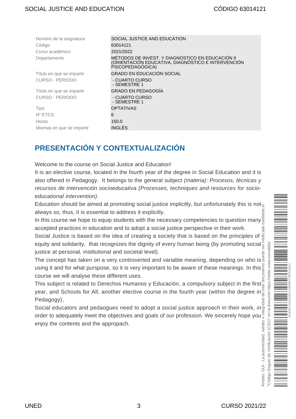| Nombre de la asignatura   | SOCIAL JUSTICE AND EDUCATION                                                                                               |
|---------------------------|----------------------------------------------------------------------------------------------------------------------------|
| Código                    | 63014121                                                                                                                   |
| Curso académico           | 2021/2022                                                                                                                  |
| Departamento              | MÉTODOS DE INVEST. Y DIAGNÓSTICO EN EDUCACIÓN II<br>(ORIENTACIÓN EDUCATIVA, DIAGNÓSTICO E INTERVENCIÓN<br>PSICOPEDAGOGICA) |
| Título en que se imparte  | <b>GRADO EN EDUCACIÓN SOCIAL</b>                                                                                           |
| <b>CURSO - PERIODO</b>    | - CUARTO CURSO<br>- SEMESTRE 1                                                                                             |
| Título en que se imparte  | <b>GRADO EN PEDAGOGÍA</b>                                                                                                  |
| <b>CURSO - PERIODO</b>    | - CUARTO CURSO<br>- SEMESTRE 1                                                                                             |
| Tipo                      | <b>OPTATIVAS</b>                                                                                                           |
| Nº ETCS                   | 6                                                                                                                          |
| Horas                     | 150.0                                                                                                                      |
| Idiomas en que se imparte | <b>INGLÉS</b>                                                                                                              |
|                           |                                                                                                                            |

### <span id="page-2-0"></span>**PRESENTACIÓN Y CONTEXTUALIZACIÓN**

Welcome to the course on Social Justice and Education!

It is an elective course, located in the fourth year of the degree in Social Education and it is also offered in Pedagogy. It belongs to the general subject (materia): Procesos, técnicas y recursos de intervención socioeducativa (Processes, techniques and resources for socioeducational intervention).

Education should be aimed at promoting social justice implicitly, but unfortunately this is not always so, thus, it is essential to address it explicitly.

In this course we hope to equip students with the necessary competencies to question many accepted practices in education and to adopt a social justice perspective in their work.

Social Justice is based on the idea of creating a society that is based on the principles of [equity](http://en.wikipedia.org/wiki/Social_equality) and [solidarity](http://en.wikipedia.org/wiki/Solidarity), that recognizes the dignity of every human being (by promoting social justice at personal, institutional and societal level).

The concept has taken on a very controverted and variable meaning, depending on who is using it and for what purspose, so it is very important to be aware of these meanings. In this course we will analyse these different uses.

This subject is related to Derechos Humanos y Educación, a compulsory subject in the first year, and Schools for All, another elective course in the fourth year (within the degree in Pedagogy), Ámbito: GUI - La autenticidad, validez e integridad de este documento puede ser verificada mediante el

Social educators and pedaogues need to adopt a social justice approach in their work, in order to adequately meet the objectives and goals of our profession. We sincerely hope you mbito: GUI - La autenticidad, validez enjoy the contents and the appropach.

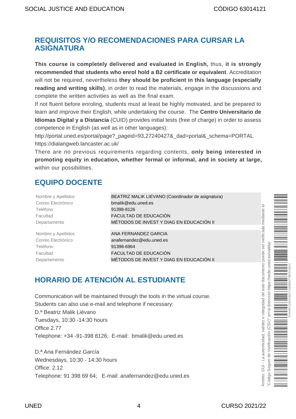#### <span id="page-3-0"></span>**REQUISITOS Y/O RECOMENDACIONES PARA CURSAR LA ASIGNATURA**

**This course is completely delivered and evaluated in English,** thus, **it is strongly recommended that students who enrol hold a B2 certificate or equivalent**. Accreditation will not be required, nevertheless **they should be proficient in this language (especially reading and writing skills)**, in order to read the materials, engage in the discussions and complete the written activities as well as the final exam.

If not fluent before enroling, students must at least be highly motivated, and be prepared to learn and improve their English, while undertaking the course. The **Centro Universitario de Idiomas Digital y a Distancia** (CUID) provides initial tests (free of charge) in order to assess competence in English (as well as in other languages):

[http://portal.uned.es/portal/page?\\_pageid=93,27240427&\\_dad=portal&\\_schema=PORTAL](http://portal.uned.es/portal/page?_pageid=93,27240427&_dad=portal&_schema=PORTAL) <https://dialangweb.lancaster.ac.uk/>

There are no previous requirements regarding contents, **only being interested in promoting equity in education, whether formal or informal, and in society at large,** within our possibilities.

#### <span id="page-3-1"></span>**EQUIPO DOCENTE**

| Nombre y Apellidos | BEATRIZ MALIK LIEVANO (Coordinador de asignatura) |
|--------------------|---------------------------------------------------|
| Correo Electrónico | bmalik@edu.uned.es                                |
| Teléfono           | 91398-8126                                        |
| Facultad           | FACULTAD DE EDUCACIÓN                             |
| Departamento       | MÉTODOS DE INVEST Y DIAG EN EDUCACIÓN II          |
|                    |                                                   |
| Nombre y Apellidos | ANA FERNANDEZ GARCIA                              |
| Correo Electrónico | anafernandez@edu.uned.es                          |
| Teléfono           | 91398-6964                                        |
| Facultad           | FACULTAD DE EDUCACIÓN                             |
| Departamento       | MÉTODOS DE INVEST Y DIAG EN EDUCACIÓN II          |

# <span id="page-3-2"></span>**HORARIO DE ATENCIÓN AL ESTUDIANTE**

Communication will be maintained through the tools in the virtual course. Students can also use e-mail and telephone if necessary: D.ª Beatriz Malik Liévano Tuesdays, 10:30 -14:30 hours Office 2.77 Telephone: +34 -91-398 8126; E-mail: bmalik@edu.uned.es

D.ª Ana Fernández García Wednesdays, 10:30 - 14:30 hours Office: 2.12 Telephone: 91 398 69 64; E-mail: anafernandez@edu.uned.es mbito: GUI - La autenticidad, validez e integridad de este documento puede ser verificada mediante el Ámbito: GUI - La autenticidad, validez e integridad de este documento puede ser verificada mediante el "Código Seguro de Verificación (CSV)" en la dirección https://sede.uned.es/valida/ uned.es/valida ED44EF1D231A81C7C80B9D77BFD1D61Chttps://sede. la dirección  $\overline{5}$  $(CSW)^n$ Verificación  $rac{1}{\sigma}$ Seguro c "Código \$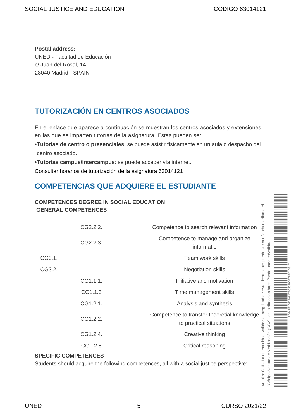**Postal address:**  UNED - Facultad de Educación c/ Juan del Rosal, 14 28040 Madrid - SPAIN

# <span id="page-4-0"></span>**TUTORIZACIÓN EN CENTROS ASOCIADOS**

En el enlace que aparece a continuación se muestran los centros asociados y extensiones en las que se imparten tutorías de la asignatura. Estas pueden ser:

- **• Tutorías de centro o presenciales**: se puede asistir físicamente en un aula o despacho del centro asociado.
- **• Tutorías campus/intercampus**: se puede acceder vía internet.

[Consultar horarios de tutorización de la asignatura 63014121](https://akademosweb.uned.es/Default.aspx?id_servicio=19&modo_23=1&asigna=63014121)

# **COMPETENCIAS QUE ADQUIERE EL ESTUDIANTE**

#### **COMPETENCES DEGREE IN SOCIAL EDUCATION GENERAL COMPETENCES**

|        | CG2.2.2. | Competence to search relevant information                              |                                                                                                                                                 |
|--------|----------|------------------------------------------------------------------------|-------------------------------------------------------------------------------------------------------------------------------------------------|
|        | CG2.2.3. | Competence to manage and organize<br>informatio                        |                                                                                                                                                 |
| CG3.1. |          | Team work skills                                                       |                                                                                                                                                 |
| CG3.2. |          | <b>Negotiation skills</b>                                              |                                                                                                                                                 |
|        | CG1.1.1. | Initiative and motivation                                              |                                                                                                                                                 |
|        | CG1.1.3  | Time management skills                                                 |                                                                                                                                                 |
|        | CG1.2.1. | Analysis and synthesis                                                 |                                                                                                                                                 |
|        | CG1.2.2. | Competence to transfer theoretial knowledge<br>to practical situations | utenticidad, validez e integridad de este documento puede ser verificada me<br>Verificación (CSV)" en la dirección https://sede.uned.es/valida. |
|        | CG1.2.4. | Creative thinking                                                      |                                                                                                                                                 |
|        | CG1.2.5  | Critical reasoning                                                     |                                                                                                                                                 |
|        |          |                                                                        |                                                                                                                                                 |

#### **SPECIFIC COMPETENCES**

Students should acquire the following competences, all with a social justice perspective:

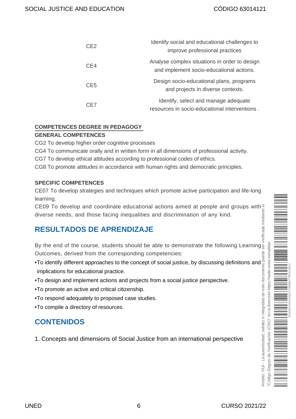| CE <sub>2</sub> | Identify social and educational challenges to<br>improve professional practices           |
|-----------------|-------------------------------------------------------------------------------------------|
| CE4             | Analyse complex situations in order to design<br>and implement socio-educational actions. |
| CE <sub>5</sub> | Design socio-educational plans, programs<br>and projects in diverse contexts.             |
| CE7             | Identify, select and manage adequate<br>resources in socio-educational interventions.     |

#### **COMPETENCES DEGREE IN PEDAGOGY**

#### **GENERAL COMPETENCES**

CG2 To develop higher order cognitive processes

CG4 To communicate orally and in written form in all dimensions of professional activity.

CG7 To develop ethical attitudes according to professional codes of ethics.

CG8 To promote attitudes in accordance with human rights and democratic principles.

#### **SPECIFIC COMPETENCES**

CE07 To develop strategies and techniques which promote active participation and life-long learning.

CE09 To develop and coordinate educational actions aimed at people and groups with diverse needs, and those facing inequalities and discrimination of any kind.

### <span id="page-5-0"></span>**RESULTADOS DE APRENDIZAJE**

By the end of the course, students should be able to demonstrate the following Learning Outcomes, derived from the corresponding competencies:

- To identify different approaches to the concept of social justice, by discussing definitions and implications for educational practice.
- To design and implement actions and projects from a social justice perspective.
- To promote an active and critical citizenship.
- To respond adequately to proposed case studies.
- To compile a directory of resources.

#### <span id="page-5-1"></span>**CONTENIDOS**

1. Concepts and dimensions of Social Justice from an international perspective

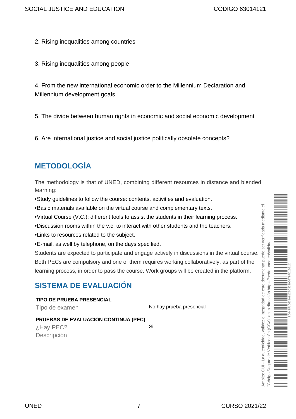- 2. Rising inequalities among countries
- 3. Rising inequalities among people

4. From the new international economic order to the Millennium Declaration and Millennium development goals

5. The divide between human rights in economic and social economic development

6. Are international justice and social justice politically obsolete concepts?

# <span id="page-6-0"></span>**METODOLOGÍA**

The methodology is that of UNED, combining different resources in distance and blended learning:

- Study guidelines to follow the course: contents, activities and evaluation.
- Basic materials available on the virtual course and complementary texts.
- Virtual Course (V.C.): different tools to assist the students in their learning process.
- Discussion rooms within the v.c. to interact with other students and the teachers.
- Links to resources related to the subject.
- E-mail, as well by telephone, on the days specified.

Students are expected to participate and engage actively in discussions in the virtual course. Both PECs are compulsory and one of them requires working collaboratively, as part of the learning process, in order to pass the course. Work groups will be created in the platform.

# <span id="page-6-1"></span>**SISTEMA DE EVALUACIÓN**

**TIPO DE PRUEBA PRESENCIAL** Tipo de examen No hay prueba presencial **PRUEBAS DE EVALUACIÓN CONTINUA (PEC)** ¿Hay PEC? Si Descripción

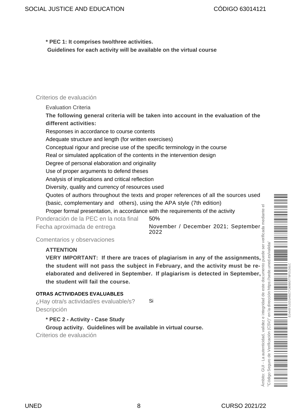**\* PEC 1: It comprises two/three activities.** 

**Guidelines for each activity will be available on the virtual course**

#### Criterios de evaluación

Evaluation Criteria

**The following general criteria will be taken into account in the evaluation of the different activities:**

Responses in accordance to course contents

Adequate structure and length (for written exercises)

Conceptual rigour and precise use of the specific terminology in the course

Real or simulated application of the contents in the intervention design

Degree of personal elaboration and originality

Use of proper arguments to defend theses

Analysis of implications and critical reflection

Diversity, quality and currency of resources used

Quotes of authors throughout the texts and proper references of all the sources used (basic, complementary and others), using the APA style (7th edition)

Proper formal presentation, in accordance with the requirements of the activity

Ponderación de la PEC en la nota final 50%

Fecha aproximada de entrega **November / December 2021; September** 2022

Comentarios y observaciones

#### **ATTENTION**

**VERY IMPORTANT: If there are traces of plagiarism in any of the assignments, the student will not pass the subject in February, and the activity must be reelaborated and delivered in September. If plagiarism is detected in September, the student will fail the course.**

#### **OTRAS ACTIVIDADES EVALUABLES**

¿Hay otra/s actividad/es evaluable/s? Si Descripción

**\* PEC 2 - Activity - Case Study** 

**Group activity. Guidelines will be available in virtual course.** Criterios de evaluación



 $\overline{a}$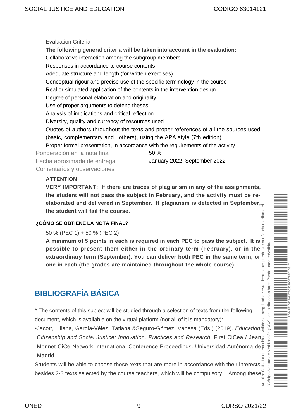Evaluation Criteria **The following general criteria will be taken into account in the evaluation:**  Collaborative interaction among the subgroup members Responses in accordance to course contents Adequate structure and length (for written exercises) Conceptual rigour and precise use of the specific terminology in the course Real or simulated application of the contents in the intervention design Degree of personal elaboration and originality Use of proper arguments to defend theses Analysis of implications and critical reflection Diversity, quality and currency of resources used Quotes of authors throughout the texts and proper references of all the sources used (basic, complementary and others), using the APA style (7th edition) Proper formal presentation, in accordance with the requirements of the activity Ponderación en la nota final 50 % Fecha aproximada de entrega January 2022; September 2022 Comentarios y observaciones

#### **ATTENTION**

**VERY IMPORTANT: If there are traces of plagiarism in any of the assignments, the student will not pass the subject in February, and the activity must be reelaborated and delivered in September. If plagiarism is detected in September, the student will fail the course.** verificada mediante

#### **¿CÓMO SE OBTIENE LA NOTA FINAL?**

50 % (PEC 1) + 50 % (PEC 2)

**A minimum of 5 points in each is required in each PEC to pass the subject. It is** ser **possible to present them either in the ordinary term (February), or in the** e integridad de este documento puede **extraordinary term (September). You can deliver both PEC in the same term, or one in each (the grades are maintained throughout the whole course).** 

# <span id="page-8-0"></span>**BIBLIOGRAFÍA BÁSICA**

\* The contents of this subject will be studied through a selection of texts from the following document, which is available on the virtual platform (not all of it is mandatory):

• Jacott, Liliana, García-Vélez, Tatiana &Seguro-Gómez, Vanesa (Eds.) (2019). Education, Citizenship and Social Justice: Innovation, Practices and Research. First CiCea / Jean and Monnet CiCe Network International Conference Proceedings. Universidad Autónoma de Madrid Ámbito: GUI - La autenticidad, validez e integridad de este documento puede ser verificada mediante el

Students will be able to choose those texts that are more in accordance with their interests, Students will be able to choose those texts that are more in section of these besides 2-3 texts selected by the course teachers, which will be compulsory. Among these  $\frac{1}{2}$ 

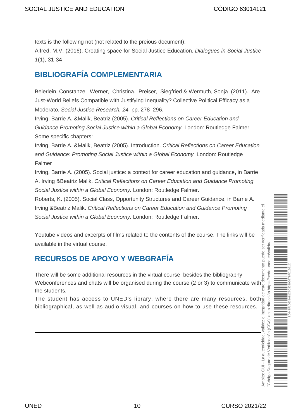texts is the following not (not related to the preious document):

Alfred, M.V. (2016). Creating space for Social Justice Education, Dialogues in Social Justice 1(1), 31-34

## <span id="page-9-0"></span>**BIBLIOGRAFÍA COMPLEMENTARIA**

Beierlein, Constanze; Werner, Christina. Preiser, Siegfried & Wermuth, Sonja (2011). Are Just-World Beliefs Compatible with Justifying Inequality? Collective Political Efficacy as a Moderato. Social Justice Research, 24, pp. 278–296.

Irving, Barrie A. &Malik, Beatriz (2005). Critical Reflections on Career Education and Guidance Promoting Social Justice within a Global Economy. London: Routledge Falmer. Some specific chapters:

Irving, Barrie A. &Malik, Beatriz (2005). Introduction. Critical Reflections on Career Education and Guidance: Promoting Social Justice within a Global Economy. London: Routledge Falmer

Irving, Barrie A. (2005). Social justice: a context for career education and guidance**,** in Barrie A. Irving &Beatriz Malik. Critical Reflections on Career Education and Guidance Promoting Social Justice within a Global Economy. London: Routledge Falmer.

Roberts, K. (2005). Social Class, Opportunity Structures and Career Guidance, in Barrie A. Irving &Beatriz Malik. Critical Reflections on Career Education and Guidance Promoting Social Justice within a Global Economy. London: Routledge Falmer.

Youtube videos and excerpts of films related to the contents of the course. The links will be available in the virtual course.

# <span id="page-9-1"></span>**RECURSOS DE APOYO Y WEBGRAFÍA**

There will be some additional resources in the virtual course, besides the bibliography. Webconferences and chats will be organised during the course (2 or 3) to communicate with the students.

The student has access to UNED's library, where there are many resources, both bibliographical, as well as audio-visual, and courses on how to use these resources.

Ámbito: GUI - La autenticidad, validez e integridad de este documento puede ser verificada mediante el "Código Seguro de Verificación (CSV)" en la dirección https://sede.uned.es/valida/ uned.es/valida ED44EF1D231A81C7C80B9D77BFD1D61Chttps://sede. en la dirección  $(CSW)^n$ erificación mbito: GUI - La autenticidad,  $\frac{0}{0}$ Seguro "Código: